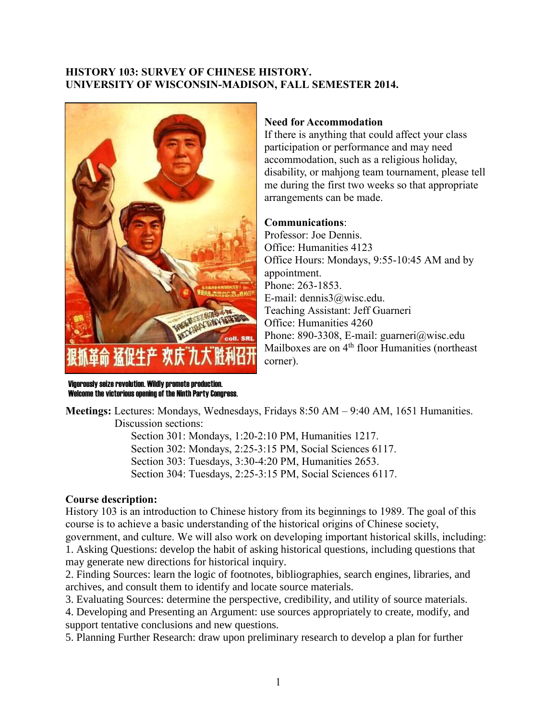## **HISTORY 103: SURVEY OF CHINESE HISTORY. UNIVERSITY OF WISCONSIN-MADISON, FALL SEMESTER 2014.**



### **Need for Accommodation**

If there is anything that could affect your class participation or performance and may need accommodation, such as a religious holiday, disability, or mahjong team tournament, please tell me during the first two weeks so that appropriate arrangements can be made.

### **Communications**:

Professor: Joe Dennis. Office: Humanities 4123 Office Hours: Mondays, 9:55-10:45 AM and by appointment. Phone: 263-1853. E-mail: dennis3@wisc.edu. Teaching Assistant: Jeff Guarneri Office: Humanities 4260 Phone: 890-3308, E-mail: guarneri@wisc.edu Mailboxes are on 4<sup>th</sup> floor Humanities (northeast corner).

Vigorously seize revolution. Wildly promote production. Welcome the victorious opening of the Ninth Party Congress.

**Meetings:** Lectures: Mondays, Wednesdays, Fridays 8:50 AM – 9:40 AM, 1651 Humanities. Discussion sections:

> Section 301: Mondays, 1:20-2:10 PM, Humanities 1217. Section 302: Mondays, 2:25-3:15 PM, Social Sciences 6117. Section 303: Tuesdays, 3:30-4:20 PM, Humanities 2653. Section 304: Tuesdays, 2:25-3:15 PM, Social Sciences 6117.

# **Course description:**

History 103 is an introduction to Chinese history from its beginnings to 1989. The goal of this course is to achieve a basic understanding of the historical origins of Chinese society, government, and culture. We will also work on developing important historical skills, including: 1. Asking Questions: develop the habit of asking historical questions, including questions that

may generate new directions for historical inquiry.

2. Finding Sources: learn the logic of footnotes, bibliographies, search engines, libraries, and archives, and consult them to identify and locate source materials.

3. Evaluating Sources: determine the perspective, credibility, and utility of source materials.

4. Developing and Presenting an Argument: use sources appropriately to create, modify, and support tentative conclusions and new questions.

5. Planning Further Research: draw upon preliminary research to develop a plan for further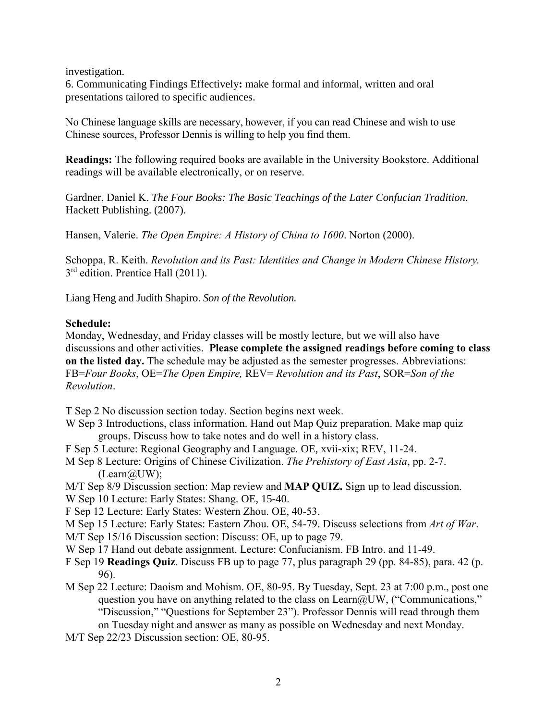investigation.

6. Communicating Findings Effectively**:** make formal and informal, written and oral presentations tailored to specific audiences.

No Chinese language skills are necessary, however, if you can read Chinese and wish to use Chinese sources, Professor Dennis is willing to help you find them.

**Readings:** The following required books are available in the University Bookstore. Additional readings will be available electronically, or on reserve.

[Gardner](http://www.amazon.com/s/ref=ntt_athr_dp_sr_1?_encoding=UTF8&field-author=Daniel%20K.%20Gardner&search-alias=books&sort=relevancerank), Daniel K. *The Four Books: The Basic Teachings of the Later Confucian Tradition.*  Hackett Publishing. (2007).

Hansen, Valerie. *The Open Empire: A History of China to 1600*. Norton (2000).

Schoppa, R. Keith. *Revolution and its Past: Identities and Change in Modern Chinese History.*  3<sup>rd</sup> edition. Prentice Hall (2011).

Liang Heng and Judith Shapiro. *Son of the Revolution.*

## **Schedule:**

Monday, Wednesday, and Friday classes will be mostly lecture, but we will also have discussions and other activities. **Please complete the assigned readings before coming to class on the listed day.** The schedule may be adjusted as the semester progresses. Abbreviations: FB=*Four Books*, OE=*The Open Empire,* REV= *Revolution and its Past*, SOR=*Son of the Revolution*.

T Sep 2 No discussion section today. Section begins next week.

- W Sep 3 Introductions, class information. Hand out Map Quiz preparation. Make map quiz groups. Discuss how to take notes and do well in a history class.
- F Sep 5 Lecture: Regional Geography and Language. OE, xvii-xix; REV, 11-24.
- M Sep 8 Lecture: Origins of Chinese Civilization. *The Prehistory of East Asia*, pp. 2-7.  $(Learn@UW);$
- M/T Sep 8/9 Discussion section: Map review and **MAP QUIZ.** Sign up to lead discussion.
- W Sep 10 Lecture: Early States: Shang. OE, 15-40.

F Sep 12 Lecture: Early States: Western Zhou. OE, 40-53.

M Sep 15 Lecture: Early States: Eastern Zhou. OE, 54-79. Discuss selections from *Art of War*.

M/T Sep 15/16 Discussion section: Discuss: OE, up to page 79.

W Sep 17 Hand out debate assignment. Lecture: Confucianism. FB Intro. and 11-49.

- F Sep 19 **Readings Quiz**. Discuss FB up to page 77, plus paragraph 29 (pp. 84-85), para. 42 (p. 96).
- M Sep 22 Lecture: Daoism and Mohism. OE, 80-95. By Tuesday, Sept. 23 at 7:00 p.m., post one question you have on anything related to the class on Learn@UW, ("Communications," "Discussion," "Questions for September 23"). Professor Dennis will read through them on Tuesday night and answer as many as possible on Wednesday and next Monday.
- M/T Sep 22/23 Discussion section: OE, 80-95.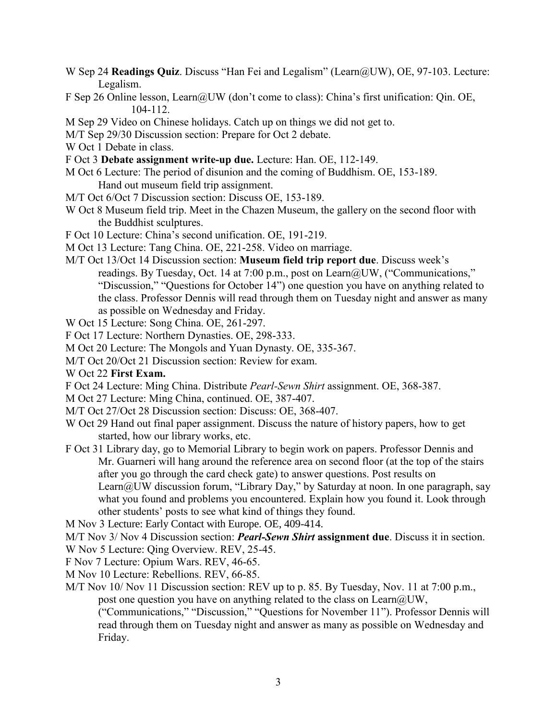- W Sep 24 **Readings Quiz**. Discuss "Han Fei and Legalism" (Learn@UW), OE, 97-103. Lecture: Legalism.
- F Sep 26 Online lesson, Learn@UW (don't come to class): China's first unification: Qin. OE, 104-112.
- M Sep 29 Video on Chinese holidays. Catch up on things we did not get to.
- M/T Sep 29/30 Discussion section: Prepare for Oct 2 debate.
- W Oct 1 Debate in class.
- F Oct 3 **Debate assignment write-up due.** Lecture: Han. OE, 112-149.
- M Oct 6 Lecture: The period of disunion and the coming of Buddhism. OE, 153-189. Hand out museum field trip assignment.
- M/T Oct 6/Oct 7 Discussion section: Discuss OE, 153-189.
- W Oct 8 Museum field trip. Meet in the Chazen Museum, the gallery on the second floor with the Buddhist sculptures.
- F Oct 10 Lecture: China's second unification. OE, 191-219.
- M Oct 13 Lecture: Tang China. OE, 221-258. Video on marriage.
- M/T Oct 13/Oct 14 Discussion section: **Museum field trip report due**. Discuss week's readings. By Tuesday, Oct. 14 at 7:00 p.m., post on Learn@UW, ("Communications," "Discussion," "Questions for October 14") one question you have on anything related to the class. Professor Dennis will read through them on Tuesday night and answer as many as possible on Wednesday and Friday.
- W Oct 15 Lecture: Song China. OE, 261-297.
- F Oct 17 Lecture: Northern Dynasties. OE, 298-333.
- M Oct 20 Lecture: The Mongols and Yuan Dynasty. OE, 335-367.
- M/T Oct 20/Oct 21 Discussion section: Review for exam.
- W Oct 22 **First Exam.**
- F Oct 24 Lecture: Ming China. Distribute *Pearl-Sewn Shirt* assignment. OE, 368-387.
- M Oct 27 Lecture: Ming China, continued. OE, 387-407.
- M/T Oct 27/Oct 28 Discussion section: Discuss: OE, 368-407.
- W Oct 29 Hand out final paper assignment. Discuss the nature of history papers, how to get started, how our library works, etc.
- F Oct 31 Library day, go to Memorial Library to begin work on papers. Professor Dennis and Mr. Guarneri will hang around the reference area on second floor (at the top of the stairs after you go through the card check gate) to answer questions. Post results on Learn@UW discussion forum, "Library Day," by Saturday at noon. In one paragraph, say what you found and problems you encountered. Explain how you found it. Look through other students' posts to see what kind of things they found.
- M Nov 3 Lecture: Early Contact with Europe. OE, 409-414.
- M/T Nov 3/ Nov 4 Discussion section: *Pearl-Sewn Shirt* **assignment due**. Discuss it in section.
- W Nov 5 Lecture: Qing Overview. REV, 25-45.
- F Nov 7 Lecture: Opium Wars. REV, 46-65.
- M Nov 10 Lecture: Rebellions. REV, 66-85.
- M/T Nov 10/ Nov 11 Discussion section: REV up to p. 85. By Tuesday, Nov. 11 at 7:00 p.m., post one question you have on anything related to the class on Learn@UW,
	- ("Communications," "Discussion," "Questions for November 11"). Professor Dennis will read through them on Tuesday night and answer as many as possible on Wednesday and Friday.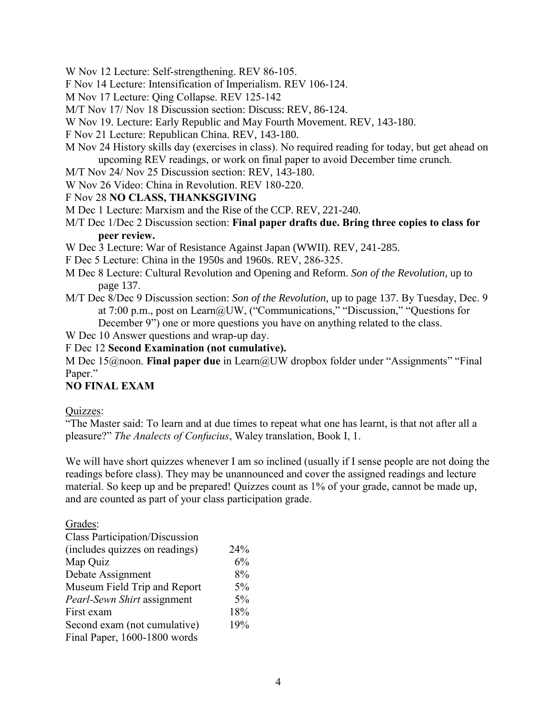- W Nov 12 Lecture: Self-strengthening. REV 86-105.
- F Nov 14 Lecture: Intensification of Imperialism. REV 106-124.
- M Nov 17 Lecture: Qing Collapse. REV 125-142
- M/T Nov 17/ Nov 18 Discussion section: Discuss: REV, 86-124.
- W Nov 19. Lecture: Early Republic and May Fourth Movement. REV, 143-180.
- F Nov 21 Lecture: Republican China. REV, 143-180.
- M Nov 24 History skills day (exercises in class). No required reading for today, but get ahead on upcoming REV readings, or work on final paper to avoid December time crunch.
- M/T Nov 24/ Nov 25 Discussion section: REV, 143-180.
- W Nov 26 Video: China in Revolution. REV 180-220.

### F Nov 28 **NO CLASS, THANKSGIVING**

- M Dec 1 Lecture: Marxism and the Rise of the CCP. REV, 221-240.
- M/T Dec 1/Dec 2 Discussion section: **Final paper drafts due. Bring three copies to class for peer review.**
- W Dec 3 Lecture: War of Resistance Against Japan (WWII). REV, 241-285.
- F Dec 5 Lecture: China in the 1950s and 1960s. REV, 286-325.
- M Dec 8 Lecture: Cultural Revolution and Opening and Reform. *Son of the Revolution*, up to page 137.
- M/T Dec 8/Dec 9 Discussion section: *Son of the Revolution*, up to page 137. By Tuesday, Dec. 9 at 7:00 p.m., post on Learn@UW, ("Communications," "Discussion," "Questions for December 9") one or more questions you have on anything related to the class.
- W Dec 10 Answer questions and wrap-up day.

### F Dec 12 **Second Examination (not cumulative).**

M Dec 15@noon. **Final paper due** in Learn@UW dropbox folder under "Assignments" "Final Paper."

# **NO FINAL EXAM**

### Quizzes:

"The Master said: To learn and at due times to repeat what one has learnt, is that not after all a pleasure?" *The Analects of Confucius*, Waley translation, Book I, 1.

We will have short quizzes whenever I am so inclined (usually if I sense people are not doing the readings before class). They may be unannounced and cover the assigned readings and lecture material. So keep up and be prepared! Quizzes count as 1% of your grade, cannot be made up, and are counted as part of your class participation grade.

Grades:

| <b>Class Participation/Discussion</b> |     |
|---------------------------------------|-----|
| (includes quizzes on readings)        | 24% |
| Map Quiz                              | 6%  |
| Debate Assignment                     | 8%  |
| Museum Field Trip and Report          | 5%  |
| Pearl-Sewn Shirt assignment           | 5%  |
| First exam                            | 18% |
| Second exam (not cumulative)          | 19% |
| Final Paper, 1600-1800 words          |     |
|                                       |     |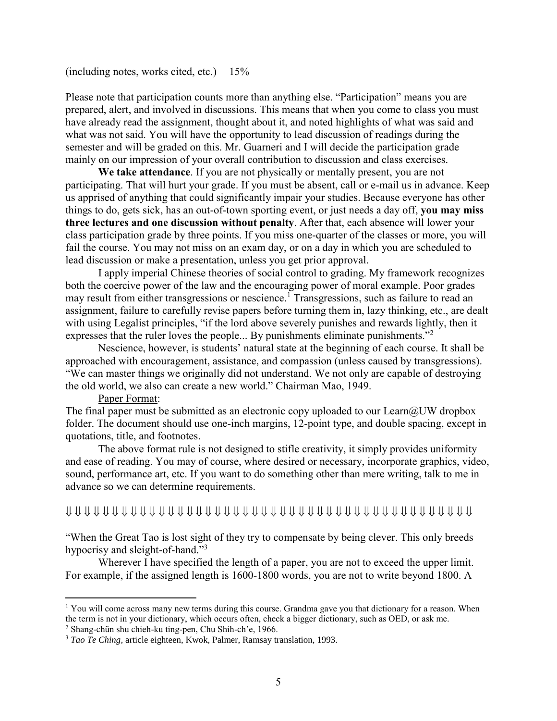#### (including notes, works cited, etc.) 15%

Please note that participation counts more than anything else. "Participation" means you are prepared, alert, and involved in discussions. This means that when you come to class you must have already read the assignment, thought about it, and noted highlights of what was said and what was not said. You will have the opportunity to lead discussion of readings during the semester and will be graded on this. Mr. Guarneri and I will decide the participation grade mainly on our impression of your overall contribution to discussion and class exercises.

**We take attendance**. If you are not physically or mentally present, you are not participating. That will hurt your grade. If you must be absent, call or e-mail us in advance. Keep us apprised of anything that could significantly impair your studies. Because everyone has other things to do, gets sick, has an out-of-town sporting event, or just needs a day off, **you may miss three lectures and one discussion without penalty**. After that, each absence will lower your class participation grade by three points. If you miss one-quarter of the classes or more, you will fail the course. You may not miss on an exam day, or on a day in which you are scheduled to lead discussion or make a presentation, unless you get prior approval.

I apply imperial Chinese theories of social control to grading. My framework recognizes both the coercive power of the law and the encouraging power of moral example. Poor grades may result from either transgressions or nescience.<sup>1</sup> Transgressions, such as failure to read an assignment, failure to carefully revise papers before turning them in, lazy thinking, etc., are dealt with using Legalist principles, "if the lord above severely punishes and rewards lightly, then it expresses that the ruler loves the people... By punishments eliminate punishments."<sup>2</sup>

Nescience, however, is students' natural state at the beginning of each course. It shall be approached with encouragement, assistance, and compassion (unless caused by transgressions). "We can master things we originally did not understand. We not only are capable of destroying the old world, we also can create a new world." Chairman Mao, 1949.

#### Paper Format:

 $\overline{a}$ 

The final paper must be submitted as an electronic copy uploaded to our  $Learn@UW$  dropbox folder. The document should use one-inch margins, 12-point type, and double spacing, except in quotations, title, and footnotes.

The above format rule is not designed to stifle creativity, it simply provides uniformity and ease of reading. You may of course, where desired or necessary, incorporate graphics, video, sound, performance art, etc. If you want to do something other than mere writing, talk to me in advance so we can determine requirements.

## 

"When the Great Tao is lost sight of they try to compensate by being clever. This only breeds hypocrisy and sleight-of-hand."<sup>3</sup>

Wherever I have specified the length of a paper, you are not to exceed the upper limit. For example, if the assigned length is 1600-1800 words, you are not to write beyond 1800. A

<sup>&</sup>lt;sup>1</sup> You will come across many new terms during this course. Grandma gave you that dictionary for a reason. When the term is not in your dictionary, which occurs often, check a bigger dictionary, such as OED, or ask me. <sup>2</sup> Shang-chün shu chieh-ku ting-pen, Chu Shih-ch'e, 1966.

<sup>3</sup> *Tao Te Ching,* article eighteen, Kwok, Palmer, Ramsay translation, 1993.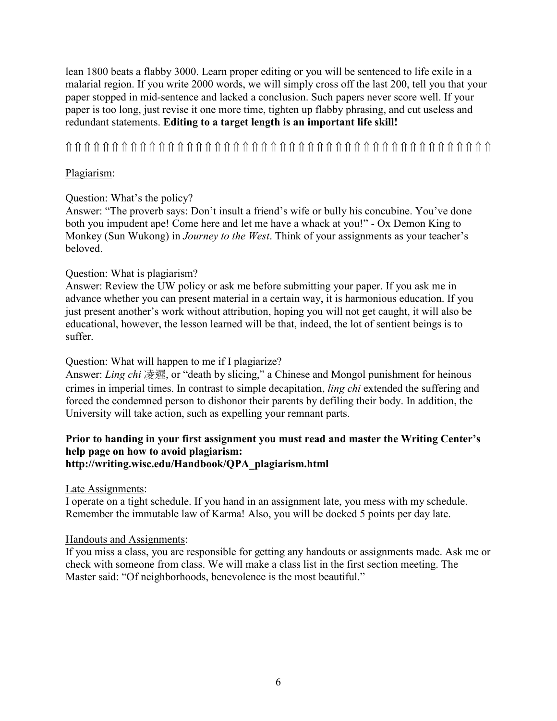lean 1800 beats a flabby 3000. Learn proper editing or you will be sentenced to life exile in a malarial region. If you write 2000 words, we will simply cross off the last 200, tell you that your paper stopped in mid-sentence and lacked a conclusion. Such papers never score well. If your paper is too long, just revise it one more time, tighten up flabby phrasing, and cut useless and redundant statements. **Editing to a target length is an important life skill!**

# 

# Plagiarism:

# Question: What's the policy?

Answer: "The proverb says: Don't insult a friend's wife or bully his concubine. You've done both you impudent ape! Come here and let me have a whack at you!" - Ox Demon King to Monkey (Sun Wukong) in *Journey to the West*. Think of your assignments as your teacher's beloved.

# Question: What is plagiarism?

Answer: Review the UW policy or ask me before submitting your paper. If you ask me in advance whether you can present material in a certain way, it is harmonious education. If you just present another's work without attribution, hoping you will not get caught, it will also be educational, however, the lesson learned will be that, indeed, the lot of sentient beings is to suffer.

# Question: What will happen to me if I plagiarize?

Answer: *Ling chi* 凌遲, or "death by slicing," a Chinese and Mongol punishment for heinous crimes in imperial times. In contrast to simple decapitation, *ling chi* extended the suffering and forced the condemned person to dishonor their parents by defiling their body. In addition, the University will take action, such as expelling your remnant parts.

### **Prior to handing in your first assignment you must read and master the Writing Center's help page on how to avoid plagiarism: http://writing.wisc.edu/Handbook/QPA\_plagiarism.html**

Late Assignments:

I operate on a tight schedule. If you hand in an assignment late, you mess with my schedule. Remember the immutable law of Karma! Also, you will be docked 5 points per day late.

# Handouts and Assignments:

If you miss a class, you are responsible for getting any handouts or assignments made. Ask me or check with someone from class. We will make a class list in the first section meeting. The Master said: "Of neighborhoods, benevolence is the most beautiful."